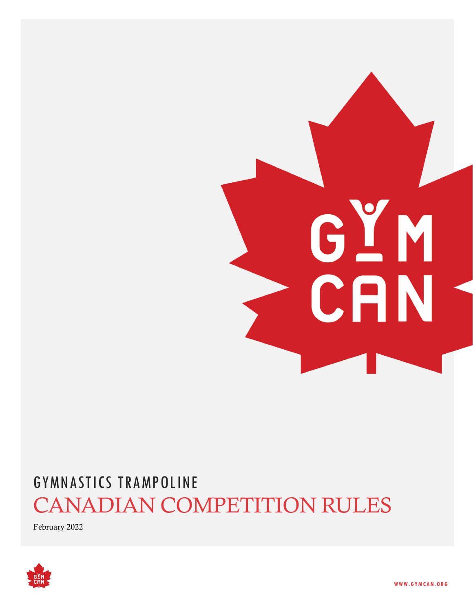# GYM CAN

# GYMNASTICS TRAMPOLINE CANADIAN COMPETITION RULES

February 2022

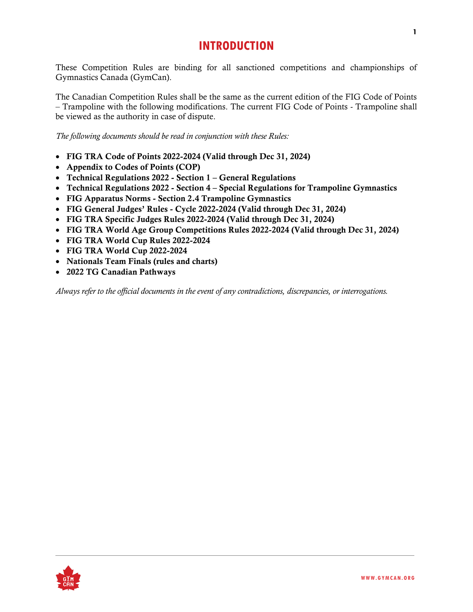# **INTRODUCTION**

These Competition Rules are binding for all sanctioned competitions and championships of Gymnastics Canada (GymCan).

The Canadian Competition Rules shall be the same as the current edition of the FIG Code of Points – Trampoline with the following modifications. The current FIG Code of Points - Trampoline shall be viewed as the authority in case of dispute.

*The following documents should be read in conjunction with these Rules:*

- FIG TRA Code of Points 2022-2024 (Valid through Dec 31, 2024)
- Appendix to Codes of Points (COP)
- Technical Regulations 2022 Section 1 General Regulations
- Technical Regulations 2022 Section 4 Special Regulations for Trampoline Gymnastics
- FIG Apparatus Norms Section 2.4 Trampoline Gymnastics
- FIG General Judges' Rules Cycle 2022-2024 (Valid through Dec 31, 2024)
- FIG TRA Specific Judges Rules 2022-2024 (Valid through Dec 31, 2024)
- FIG TRA World Age Group Competitions Rules 2022-2024 (Valid through Dec 31, 2024)
- FIG TRA World Cup Rules 2022-2024
- FIG TRA World Cup 2022-2024
- Nationals Team Finals (rules and charts)
- 2022 TG Canadian Pathways

*Always refer to the official documents in the event of any contradictions, discrepancies, or interrogations.*

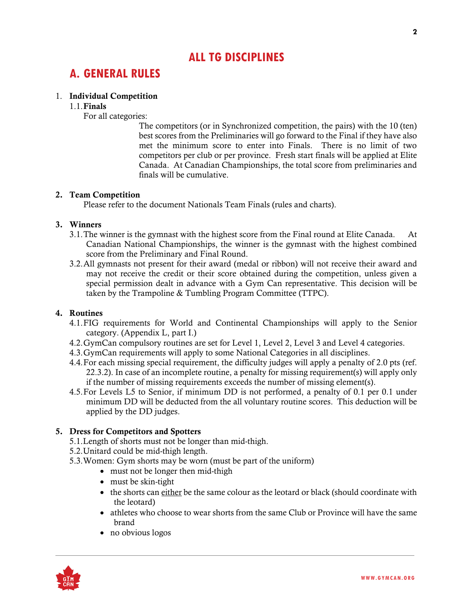# **ALL TG DISCIPLINES**

# **A. GENERAL RULES**

### 1. Individual Competition

### 1.1.Finals

For all categories:

The competitors (or in Synchronized competition, the pairs) with the 10 (ten) best scores from the Preliminaries will go forward to the Final if they have also met the minimum score to enter into Finals. There is no limit of two competitors per club or per province. Fresh start finals will be applied at Elite Canada. At Canadian Championships, the total score from preliminaries and finals will be cumulative.

### 2. Team Competition

Please refer to the document Nationals Team Finals (rules and charts).

### 3. Winners

- 3.1.The winner is the gymnast with the highest score from the Final round at Elite Canada. At Canadian National Championships, the winner is the gymnast with the highest combined score from the Preliminary and Final Round.
- 3.2.All gymnasts not present for their award (medal or ribbon) will not receive their award and may not receive the credit or their score obtained during the competition, unless given a special permission dealt in advance with a Gym Can representative. This decision will be taken by the Trampoline & Tumbling Program Committee (TTPC).

### 4. Routines

- 4.1.FIG requirements for World and Continental Championships will apply to the Senior category. (Appendix L, part I.)
- 4.2.GymCan compulsory routines are set for Level 1, Level 2, Level 3 and Level 4 categories.
- 4.3.GymCan requirements will apply to some National Categories in all disciplines.
- 4.4.For each missing special requirement, the difficulty judges will apply a penalty of 2.0 pts (ref. 22.3.2). In case of an incomplete routine, a penalty for missing requirement(s) will apply only if the number of missing requirements exceeds the number of missing element(s).
- 4.5.For Levels L5 to Senior, if minimum DD is not performed, a penalty of 0.1 per 0.1 under minimum DD will be deducted from the all voluntary routine scores. This deduction will be applied by the DD judges.

### 5. Dress for Competitors and Spotters

- 5.1.Length of shorts must not be longer than mid-thigh.
- 5.2.Unitard could be mid-thigh length.
- 5.3.Women: Gym shorts may be worn (must be part of the uniform)
	- must not be longer then mid-thigh
	- must be skin-tight
	- the shorts can either be the same colour as the leotard or black (should coordinate with the leotard)
	- athletes who choose to wear shorts from the same Club or Province will have the same brand
	- no obvious logos

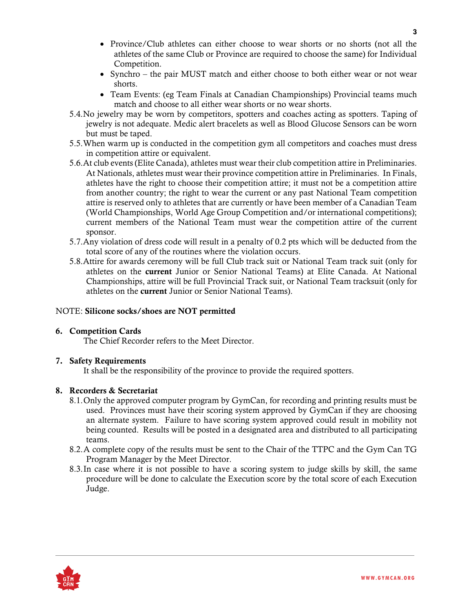- Province/Club athletes can either choose to wear shorts or no shorts (not all the athletes of the same Club or Province are required to choose the same) for Individual Competition.
- Synchro the pair MUST match and either choose to both either wear or not wear shorts.
- Team Events: (eg Team Finals at Canadian Championships) Provincial teams much match and choose to all either wear shorts or no wear shorts.
- 5.4.No jewelry may be worn by competitors, spotters and coaches acting as spotters. Taping of jewelry is not adequate. Medic alert bracelets as well as Blood Glucose Sensors can be worn but must be taped.
- 5.5.When warm up is conducted in the competition gym all competitors and coaches must dress in competition attire or equivalent.
- 5.6.At club events (Elite Canada), athletes must wear their club competition attire in Preliminaries. At Nationals, athletes must wear their province competition attire in Preliminaries. In Finals, athletes have the right to choose their competition attire; it must not be a competition attire from another country; the right to wear the current or any past National Team competition attire is reserved only to athletes that are currently or have been member of a Canadian Team (World Championships, World Age Group Competition and/or international competitions); current members of the National Team must wear the competition attire of the current sponsor.
- 5.7.Any violation of dress code will result in a penalty of 0.2 pts which will be deducted from the total score of any of the routines where the violation occurs.
- 5.8.Attire for awards ceremony will be full Club track suit or National Team track suit (only for athletes on the current Junior or Senior National Teams) at Elite Canada. At National Championships, attire will be full Provincial Track suit, or National Team tracksuit (only for athletes on the current Junior or Senior National Teams).

### NOTE: Silicone socks/shoes are NOT permitted

### 6. Competition Cards

The Chief Recorder refers to the Meet Director.

### 7. Safety Requirements

It shall be the responsibility of the province to provide the required spotters.

### 8. Recorders & Secretariat

- 8.1.Only the approved computer program by GymCan, for recording and printing results must be used. Provinces must have their scoring system approved by GymCan if they are choosing an alternate system. Failure to have scoring system approved could result in mobility not being counted. Results will be posted in a designated area and distributed to all participating teams.
- 8.2.A complete copy of the results must be sent to the Chair of the TTPC and the Gym Can TG Program Manager by the Meet Director.
- 8.3.In case where it is not possible to have a scoring system to judge skills by skill, the same procedure will be done to calculate the Execution score by the total score of each Execution Judge.

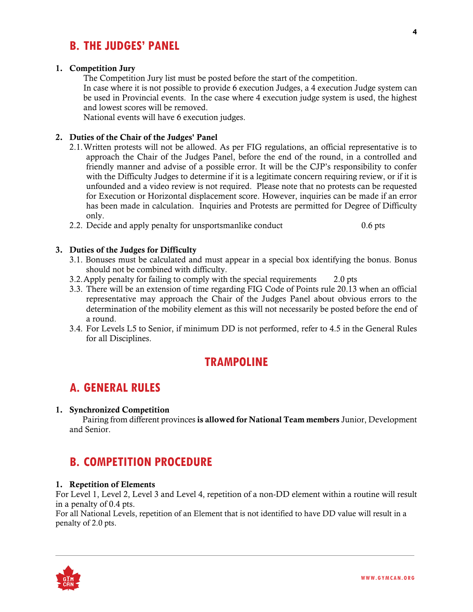# **B. THE JUDGES' PANEL**

### 1. Competition Jury

The Competition Jury list must be posted before the start of the competition.

In case where it is not possible to provide 6 execution Judges, a 4 execution Judge system can be used in Provincial events. In the case where 4 execution judge system is used, the highest and lowest scores will be removed.

National events will have 6 execution judges.

### 2. Duties of the Chair of the Judges' Panel

- 2.1.Written protests will not be allowed. As per FIG regulations, an official representative is to approach the Chair of the Judges Panel, before the end of the round, in a controlled and friendly manner and advise of a possible error. It will be the CJP's responsibility to confer with the Difficulty Judges to determine if it is a legitimate concern requiring review, or if it is unfounded and a video review is not required. Please note that no protests can be requested for Execution or Horizontal displacement score. However, inquiries can be made if an error has been made in calculation. Inquiries and Protests are permitted for Degree of Difficulty only.
- 2.2. Decide and apply penalty for unsportsmanlike conduct 0.6 pts

### 3. Duties of the Judges for Difficulty

- 3.1. Bonuses must be calculated and must appear in a special box identifying the bonus. Bonus should not be combined with difficulty.
- 3.2.Apply penalty for failing to comply with the special requirements 2.0 pts
- 3.3. There will be an extension of time regarding FIG Code of Points rule 20.13 when an official representative may approach the Chair of the Judges Panel about obvious errors to the determination of the mobility element as this will not necessarily be posted before the end of a round.
- 3.4. For Levels L5 to Senior, if minimum DD is not performed, refer to 4.5 in the General Rules for all Disciplines.

# **TRAMPOLINE**

# **A. GENERAL RULES**

### 1. Synchronized Competition

 Pairing from different provinces is allowed for National Team members Junior, Development and Senior.

# **B. COMPETITION PROCEDURE**

### 1. Repetition of Elements

For Level 1, Level 2, Level 3 and Level 4, repetition of a non-DD element within a routine will result in a penalty of 0.4 pts.

For all National Levels, repetition of an Element that is not identified to have DD value will result in a penalty of 2.0 pts.

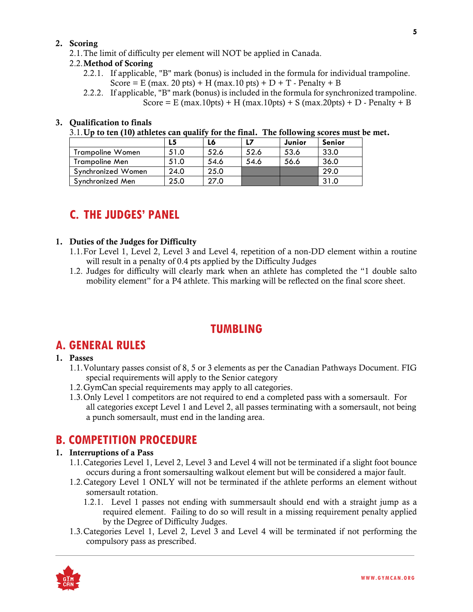### 2. Scoring

2.1.The limit of difficulty per element will NOT be applied in Canada.

### 2.2.Method of Scoring

- 2.2.1. If applicable, "B" mark (bonus) is included in the formula for individual trampoline. Score = E (max. 20 pts) + H (max. 10 pts) + D + T - Penalty + B
- 2.2.2. If applicable, "B" mark (bonus) is included in the formula for synchronized trampoline. Score = E (max.10pts) + H (max.10pts) + S (max.20pts) + D - Penalty + B

### 3. Qualification to finals

3.1.Up to ten (10) athletes can qualify for the final. The following scores must be met.

|                         |      | L6   |      | Junior | Senior |
|-------------------------|------|------|------|--------|--------|
| <b>Trampoline Women</b> | 51.0 | 52.6 | 52.6 | 53.6   | 33.0   |
| Trampoline Men          | 51.0 | 54.6 | 54.6 | 56.6   | 36.0   |
| Synchronized Women      | 24.0 | 25.0 |      |        | 29.0   |
| Synchronized Men        | 25.0 | 27.0 |      |        | 31.0   |

# **C. THE JUDGES' PANEL**

### 1. Duties of the Judges for Difficulty

- 1.1.For Level 1, Level 2, Level 3 and Level 4, repetition of a non-DD element within a routine will result in a penalty of 0.4 pts applied by the Difficulty Judges
- 1.2. Judges for difficulty will clearly mark when an athlete has completed the "1 double salto mobility element" for a P4 athlete. This marking will be reflected on the final score sheet.

# **TUMBLING**

# **A. GENERAL RULES**

### 1. Passes

- 1.1.Voluntary passes consist of 8, 5 or 3 elements as per the Canadian Pathways Document. FIG special requirements will apply to the Senior category
- 1.2.GymCan special requirements may apply to all categories.
- 1.3.Only Level 1 competitors are not required to end a completed pass with a somersault. For all categories except Level 1 and Level 2, all passes terminating with a somersault, not being a punch somersault, must end in the landing area.

# **B. COMPETITION PROCEDURE**

### 1. Interruptions of a Pass

- 1.1.Categories Level 1, Level 2, Level 3 and Level 4 will not be terminated if a slight foot bounce occurs during a front somersaulting walkout element but will be considered a major fault.
- 1.2.Category Level 1 ONLY will not be terminated if the athlete performs an element without somersault rotation.
	- 1.2.1. Level 1 passes not ending with summersault should end with a straight jump as a required element. Failing to do so will result in a missing requirement penalty applied by the Degree of Difficulty Judges.
- 1.3.Categories Level 1, Level 2, Level 3 and Level 4 will be terminated if not performing the compulsory pass as prescribed.

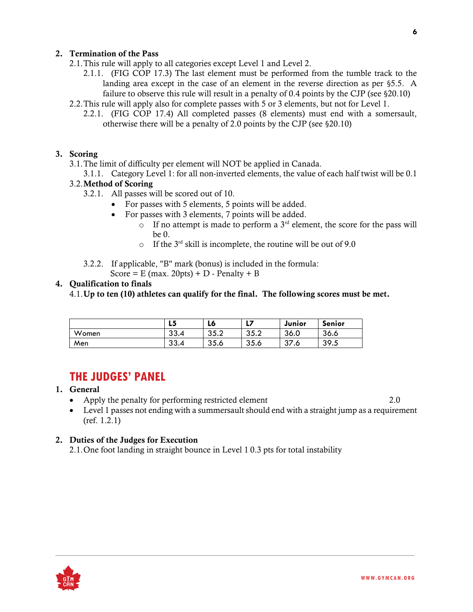### 2. Termination of the Pass

- 2.1.This rule will apply to all categories except Level 1 and Level 2.
	- 2.1.1. (FIG COP 17.3) The last element must be performed from the tumble track to the landing area except in the case of an element in the reverse direction as per §5.5. A failure to observe this rule will result in a penalty of 0.4 points by the CJP (see §20.10)
- 2.2.This rule will apply also for complete passes with 5 or 3 elements, but not for Level 1.
	- 2.2.1. (FIG COP 17.4) All completed passes (8 elements) must end with a somersault, otherwise there will be a penalty of 2.0 points by the CJP (see §20.10)

### 3. Scoring

- 3.1.The limit of difficulty per element will NOT be applied in Canada.
- 3.1.1. Category Level 1: for all non-inverted elements, the value of each half twist will be 0.1 3.2.Method of Scoring
	- 3.2.1. All passes will be scored out of 10.
		- For passes with 5 elements, 5 points will be added.
			- For passes with 3 elements, 7 points will be added.
				- $\circ$  If no attempt is made to perform a 3<sup>rd</sup> element, the score for the pass will be 0.
				- $\circ$  If the 3<sup>rd</sup> skill is incomplete, the routine will be out of 9.0
	- 3.2.2. If applicable, "B" mark (bonus) is included in the formula:

Score =  $E$  (max. 20pts) +  $D$  - Penalty +  $B$ 

### 4. Qualification to finals

4.1.Up to ten (10) athletes can qualify for the final. The following scores must be met.

|       | LЭ         | LO           | Ы    | Junior           | <b>Senior</b> |
|-------|------------|--------------|------|------------------|---------------|
| Women | າາ<br>33.4 | 35つ<br>ے.ں ت | 35.2 | 36.0             | 36.6          |
| Men   | າາ<br>33.4 | 35.6         | 35.6 | ົາ<br>. с<br>ر د | 39.5          |

# **THE JUDGES' PANEL**

- 1. General
	- Apply the penalty for performing restricted element 2.0
	- Level 1 passes not ending with a summersault should end with a straight jump as a requirement (ref. 1.2.1)

### 2. Duties of the Judges for Execution

2.1.One foot landing in straight bounce in Level 1 0.3 pts for total instability

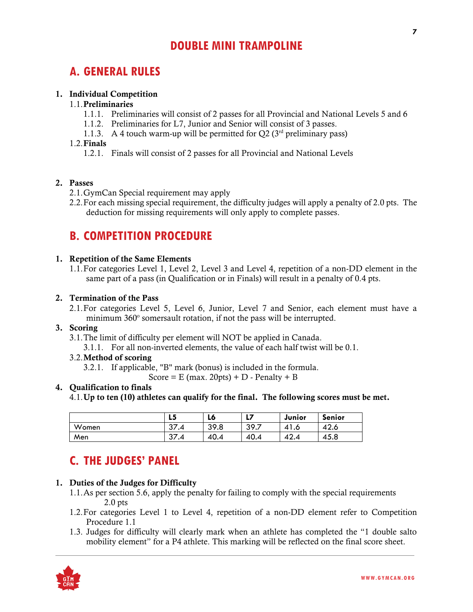# **DOUBLE MINI TRAMPOLINE**

# **A. GENERAL RULES**

### 1. Individual Competition

### 1.1.Preliminaries

- 1.1.1. Preliminaries will consist of 2 passes for all Provincial and National Levels 5 and 6
- 1.1.2. Preliminaries for L7, Junior and Senior will consist of 3 passes.
- 1.1.3. A 4 touch warm-up will be permitted for  $Q2(3^{rd}$  preliminary pass)

### 1.2.Finals

1.2.1. Finals will consist of 2 passes for all Provincial and National Levels

### 2. Passes

- 2.1.GymCan Special requirement may apply
- 2.2.For each missing special requirement, the difficulty judges will apply a penalty of 2.0 pts. The deduction for missing requirements will only apply to complete passes.

# **B. COMPETITION PROCEDURE**

### 1. Repetition of the Same Elements

1.1.For categories Level 1, Level 2, Level 3 and Level 4, repetition of a non-DD element in the same part of a pass (in Qualification or in Finals) will result in a penalty of 0.4 pts.

### 2. Termination of the Pass

2.1.For categories Level 5, Level 6, Junior, Level 7 and Senior, each element must have a minimum 360° somersault rotation, if not the pass will be interrupted.

### 3. Scoring

- 3.1.The limit of difficulty per element will NOT be applied in Canada.
	- 3.1.1. For all non-inverted elements, the value of each half twist will be 0.1.

### 3.2.Method of scoring

3.2.1. If applicable, "B" mark (bonus) is included in the formula.

Score =  $E$  (max. 20pts) +  $D$  - Penalty +  $B$ 

### 4. Qualification to finals

4.1.Up to ten (10) athletes can qualify for the final. The following scores must be met.

|       | L5             | L6   | 17<br>.,     | Junior | Senior |
|-------|----------------|------|--------------|--------|--------|
| Women | 27<br>۰.4<br>◡ | 39.8 | 30.7<br>J7./ | 41.0   | 42.6   |
| Men   | っっ<br>۰.4<br>◡ | 40.4 | 40.4         | 42.4   | 45.8   |

# **C. THE JUDGES' PANEL**

### 1. Duties of the Judges for Difficulty

- 1.1.As per section 5.6, apply the penalty for failing to comply with the special requirements 2.0 pts
- 1.2.For categories Level 1 to Level 4, repetition of a non-DD element refer to Competition Procedure 1.1
- 1.3. Judges for difficulty will clearly mark when an athlete has completed the "1 double salto mobility element" for a P4 athlete. This marking will be reflected on the final score sheet.

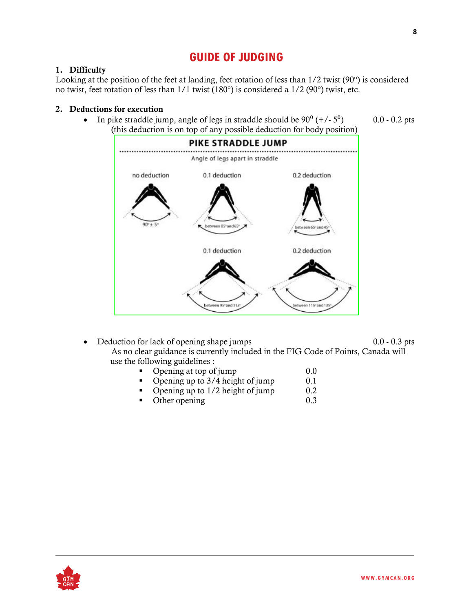# **GUIDE OF JUDGING**

### 1. Difficulty

Looking at the position of the feet at landing, feet rotation of less than 1/2 twist (90°) is considered no twist, feet rotation of less than 1/1 twist (180°) is considered a 1/2 (90°) twist, etc.

### 2. Deductions for execution

• In pike straddle jump, angle of legs in straddle should be  $90^{\circ}$  (+/-  $5^{\circ}$ ) 0.0 - 0.2 pts (this deduction is on top of any possible deduction for body position)



- Deduction for lack of opening shape jumps 0.0 0.3 pts As no clear guidance is currently included in the FIG Code of Points, Canada will use the following guidelines :
	- Opening at top of jump  $0.0$ <br>• Opening up to  $3/4$  height of jump  $0.1$
	- $\blacksquare$  Opening up to 3/4 height of jump
	- Opening up to 1/2 height of jump 0.2
	- Other opening 0.3

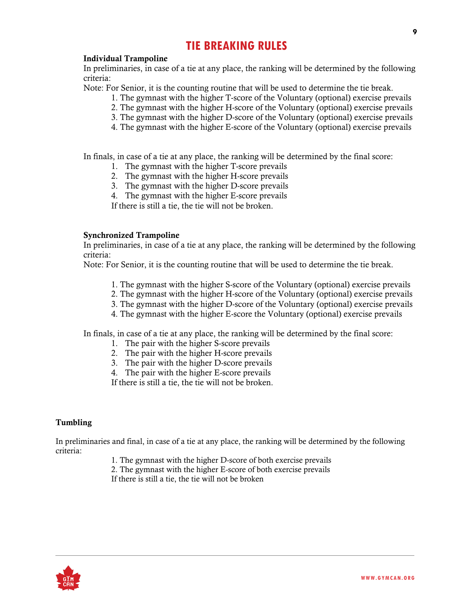# **TIE BREAKING RULES**

### Individual Trampoline

In preliminaries, in case of a tie at any place, the ranking will be determined by the following criteria:

Note: For Senior, it is the counting routine that will be used to determine the tie break.

- 1. The gymnast with the higher T-score of the Voluntary (optional) exercise prevails
- 2. The gymnast with the higher H-score of the Voluntary (optional) exercise prevails
- 3. The gymnast with the higher D-score of the Voluntary (optional) exercise prevails
- 4. The gymnast with the higher E-score of the Voluntary (optional) exercise prevails

In finals, in case of a tie at any place, the ranking will be determined by the final score:

- 1. The gymnast with the higher T-score prevails
- 2. The gymnast with the higher H-score prevails
- 3. The gymnast with the higher D-score prevails
- 4. The gymnast with the higher E-score prevails

If there is still a tie, the tie will not be broken.

### Synchronized Trampoline

In preliminaries, in case of a tie at any place, the ranking will be determined by the following criteria:

Note: For Senior, it is the counting routine that will be used to determine the tie break.

- 1. The gymnast with the higher S-score of the Voluntary (optional) exercise prevails
- 2. The gymnast with the higher H-score of the Voluntary (optional) exercise prevails
- 3. The gymnast with the higher D-score of the Voluntary (optional) exercise prevails
- 4. The gymnast with the higher E-score the Voluntary (optional) exercise prevails

In finals, in case of a tie at any place, the ranking will be determined by the final score:

- 1. The pair with the higher S-score prevails
- 2. The pair with the higher H-score prevails
- 3. The pair with the higher D-score prevails
- 4. The pair with the higher E-score prevails

If there is still a tie, the tie will not be broken.

### Tumbling

In preliminaries and final, in case of a tie at any place, the ranking will be determined by the following criteria:

- 1. The gymnast with the higher D-score of both exercise prevails
- 2. The gymnast with the higher E-score of both exercise prevails

If there is still a tie, the tie will not be broken